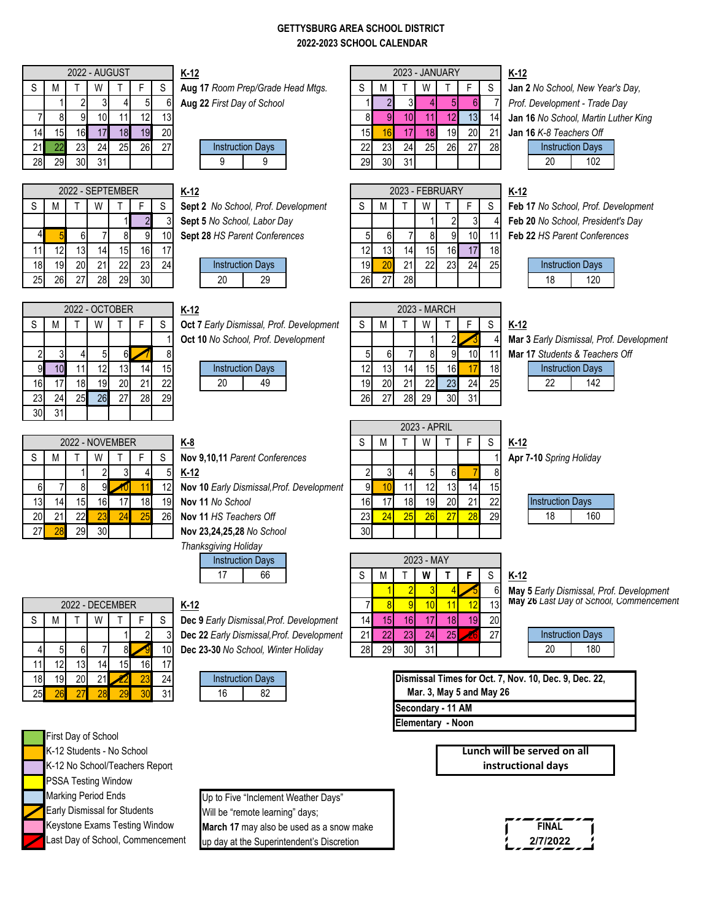#### **GETTYSBURG AREA SCHOOL DISTRICT 2022-2023 SCHOOL CALENDAR**

|     |     |     | <b>2022 - AUGUST</b> |    |           |                 | $K-12$                            |                 |    |    |    | 2023 - JANUARY |    |    |
|-----|-----|-----|----------------------|----|-----------|-----------------|-----------------------------------|-----------------|----|----|----|----------------|----|----|
|     | М   |     | W                    |    |           | c               | Aug 17 Room Prep/Grade Head Mtgs. |                 | M  |    | W  |                |    |    |
|     |     |     |                      |    | 51        | 61              | Aug 22 First Day of School        |                 |    |    |    |                |    |    |
|     |     |     |                      |    |           | 13 <sub>1</sub> |                                   |                 |    |    |    |                |    | 14 |
| 14. | 15  | 161 |                      | 81 | 19        | 20              |                                   | 15 <sub>h</sub> |    |    | 8  | 19.            | 20 | 21 |
| 21  |     | 23  | 24                   | 25 | <b>26</b> | 27              | <b>Instruction Days</b>           | 22              | 23 | 24 | 25 | 26             | ∩⊤ | 28 |
| 28  | 291 | 30  | 31                   |    |           |                 | 9<br>a                            | 29              | ۹Λ | 31 |    |                |    |    |

2022 - SEPTEMBER

Aug 17 Room Prep/Grade Head Mtgs.  $|\S|M$  T | W | T | F | S | Jan 2 No School, New Year's Day, 123456 **Aug 22** *First Day of School* 1234567 *Prof. Development - Trade Day*



|  | $K-12$                               |  | 2023 - FEBRUARY |   |  | K-12  |
|--|--------------------------------------|--|-----------------|---|--|-------|
|  | Sept 2 No School, Prof. Development  |  |                 | W |  | Feb   |
|  | <b>Sept 5 No School, Labor Day</b>   |  |                 |   |  | Feb : |
|  | <b>Sept 28 HS Parent Conferences</b> |  |                 |   |  |       |



|                 |     |     | 2022 - OCTOBER |          |     |    | $K-12$ |    |                                     |                                          |    |                 |     | 2023 - MARCH    |     |    |
|-----------------|-----|-----|----------------|----------|-----|----|--------|----|-------------------------------------|------------------------------------------|----|-----------------|-----|-----------------|-----|----|
| S               | M   |     | W              |          |     | S  |        |    |                                     | Oct 7 Early Dismissal, Prof. Development | S  | M               |     | W               |     |    |
|                 |     |     |                |          |     |    |        |    | Oct 10 No School, Prof. Development |                                          |    |                 |     |                 |     |    |
|                 |     |     | 5              | 61       |     | 8  |        |    |                                     |                                          |    | 6               |     | 8               |     | 10 |
|                 | 10  |     | 12             | 13'      | 14. | 15 |        |    | <b>Instruction Days</b>             |                                          | 12 | 13 <sub>l</sub> | 14. | 15 <sup>1</sup> | 16. | 17 |
| 16 <sup>1</sup> | 17  | 181 | 19             | 20       | 21  | 22 |        | 20 | 49                                  |                                          | 19 | 20              | ິດ4 |                 | 23  | 24 |
| <b>231</b>      | 24. | 25  | 26             | דר<br>۷I | 28  | 29 |        |    |                                     |                                          | 26 | $\sim$          | 28  | 29              | 30  | 31 |
| 30              | 31  |     |                |          |     |    |        |    |                                     |                                          |    |                 |     |                 |     |    |

|             | 2022 - NOVEMBER |    |    |    |    |    |  |  |  |  |  |  |
|-------------|-----------------|----|----|----|----|----|--|--|--|--|--|--|
| $\mathsf S$ | М               |    |    |    | F  | S  |  |  |  |  |  |  |
|             |                 |    | 2  | 3  |    | 5  |  |  |  |  |  |  |
| 6           |                 | 8  | 9  |    |    | 12 |  |  |  |  |  |  |
| 13          | 14              | 15 | 16 | 17 | 18 | 19 |  |  |  |  |  |  |
| 20          | 21              | 22 | 23 | 24 | 25 | 26 |  |  |  |  |  |  |
| 27          |                 | 29 | 30 |    |    |    |  |  |  |  |  |  |

|    |    |    |    | 2022 - DECEMBER |                 |                 | $K-12$ |                                     |                         |                                           |     |                |                  | 10 <sup>1</sup> |
|----|----|----|----|-----------------|-----------------|-----------------|--------|-------------------------------------|-------------------------|-------------------------------------------|-----|----------------|------------------|-----------------|
|    | М  |    | W  |                 |                 |                 |        |                                     |                         | Dec 9 Early Dismissal, Prof. Development  | 14L | $\overline{5}$ |                  |                 |
|    |    |    |    |                 |                 |                 |        |                                     |                         | Dec 22 Early Dismissal, Prof. Development |     |                |                  | 24              |
|    |    |    |    |                 |                 | 10 <sub>l</sub> |        | Dec 23-30 No School, Winter Holiday |                         |                                           | 28  | 29             |                  | 31              |
|    |    |    | 14 | 15 <sub>1</sub> | 16              | 17              |        |                                     |                         |                                           |     |                |                  |                 |
| 18 | 19 | 20 |    |                 | 23 <sub>1</sub> | 24              |        |                                     | <b>Instruction Days</b> |                                           |     |                | <b>Dismissal</b> |                 |
| 25 |    |    |    |                 | 30 <sub>l</sub> | 31              |        | 16                                  | 82                      |                                           |     |                |                  | Mar. 3, I       |





4 5 6 7 8 9 10 **Sept 28** *HS Parent Conferences* 5 6 7 8 9 10 11 **Feb 22** *HS Parent Conferences*



27 28 29 30 **Nov 23,24,25,28** *No School* 30

20 21 22 23 24 25 26 **Nov 11** *HS Teachers Off* 23 24 25 26 27 28 29



|       |          |    | 2022 - OCTOBER |    |           |                 | $K-12$ |    |                                     |                                                 |           |                 |           | 2023 - MARCH |    |     |                 |             |     |                                  |  |
|-------|----------|----|----------------|----|-----------|-----------------|--------|----|-------------------------------------|-------------------------------------------------|-----------|-----------------|-----------|--------------|----|-----|-----------------|-------------|-----|----------------------------------|--|
|       | M        |    | w              |    |           |                 |        |    |                                     | <b>Oct 7 Early Dismissal, Prof. Development</b> |           |                 |           | W            |    |     |                 | <u>K-12</u> |     |                                  |  |
|       |          |    |                |    |           |                 |        |    | Oct 10 No School, Prof. Development |                                                 |           |                 |           |              |    |     |                 |             |     | Mar 3 Early Dismissal, Prof. Dev |  |
|       |          |    |                |    |           |                 |        |    |                                     |                                                 |           |                 |           |              |    |     |                 |             |     | Mar 17 Students & Teachers Of    |  |
| 91    |          |    |                | 31 | 141       | 15 <sub>l</sub> |        |    | <b>Instruction Days</b>             |                                                 |           | 13 <sub>l</sub> | 14 I      | 15I          | 16 |     | 18 <sub>1</sub> |             |     | <b>Instruction Days</b>          |  |
| 16    |          | 18 | 19             | 20 | 21        | 22              |        | 20 | 49                                  |                                                 | 19        | 20              |           | 22           | 23 | 24  | 25 <sub>1</sub> |             | -22 | 142                              |  |
| 23    | 24       | 25 | <b>26</b>      | 27 | <b>28</b> | 29              |        |    |                                     |                                                 | <b>26</b> | 27              | <b>28</b> | 29           | 30 | -31 |                 |             |     |                                  |  |
| ่า∩ l | $\sim$ 1 |    |                |    |           |                 |        |    |                                     |                                                 |           |                 |           |              |    |     |                 |             |     |                                  |  |

| ◡  |   |            | ∠∪ | ΔJ   |                                           | ∠∪  |   | 201 | 2J           | υU | ັບ |    |                         |
|----|---|------------|----|------|-------------------------------------------|-----|---|-----|--------------|----|----|----|-------------------------|
|    |   |            |    |      |                                           |     |   |     |              |    |    |    |                         |
|    |   |            |    |      |                                           |     |   |     | 2023 - APRIL |    |    |    |                         |
|    |   | - NOVEMBER |    |      | <u>K-8</u>                                | S   | M |     | W            |    |    |    | <u>K-12</u>             |
|    | W |            |    |      | Nov 9,10,11 Parent Conferences            |     |   |     |              |    |    |    | Apr 7-10 Spring Holiday |
|    |   |            |    |      | $K-12$                                    |     |   |     |              | 61 |    |    |                         |
| 81 |   |            |    | 12I  | Nov 10 Early Dismissal, Prof. Development | 91  |   |     |              |    | 14 | 15 |                         |
| 51 |   |            |    | 19 I | Nov 11 No School                          | 16. |   |     | 19           |    |    | 22 | <b>Instruction Days</b> |

|        | Thanksgiving Holiday    |    |                                           |     |   |     |            |    |     |                 |                                          |
|--------|-------------------------|----|-------------------------------------------|-----|---|-----|------------|----|-----|-----------------|------------------------------------------|
|        | <b>Instruction Days</b> |    |                                           |     |   |     | 2023 - MAY |    |     |                 |                                          |
|        | 17                      | 66 |                                           |     | M |     | W          |    |     |                 | $K-12$                                   |
|        |                         |    |                                           |     |   |     |            |    |     | 61              | May 5 Early Dismissal, Prof. Development |
| $K-12$ |                         |    |                                           |     |   |     |            |    |     | 13              | May 26 Last Day of School, Commencement  |
|        |                         |    | Dec 9 Early Dismissal, Prof. Development  | 141 |   | 16. |            |    | 19. | 20 <sub>l</sub> |                                          |
|        |                         |    | Dec 22 Early Dismissal, Prof. Development |     |   |     |            | 25 |     | 27              | <b>Instruction Days</b>                  |

## **K-12**

|    | <b>Instruction Days</b> |
|----|-------------------------|
| 20 | 180                     |
|    |                         |

| Dismissal Times for Oct. 7, Nov. 10, Dec. 9, Dec. 22, |  |
|-------------------------------------------------------|--|
| Mar. 3, May 5 and May 26                              |  |
| Secondary - 11 AM                                     |  |
| <b>Elementary - Noon</b>                              |  |
|                                                       |  |



Marking Period Ends<br>
Up to Five "Inclement Weather Days" Early Dismissal for Students Will be "remote learning" days; Keystone Exams Testing Window **March 17** may also be used as a snow make Last Day of School, Commencement up day at the Superintendent's Discretion



# 14 15 16 17 18 19 20 15 16 17 18 19 20 21 **Jan 16** *K-8 Teachers Off*

### **K-12 K-12** 2023 - JANUARY

7 8 9 10 11 12 13 8 9 10 11 12 13 14 **Jan 16** *No School, Martin Luther King*

|      | <b>Instruction Days</b> |
|------|-------------------------|
| ווכי | 102                     |

S | M | T | W | T | F | S | Sept 2 No School, Prof. Development | S | M | T | W | T | F | S | Feb 17 No School, Prof. Development 123 **Sept 5** *No School, Labor Day* 1234 **Feb 20** *No School, President's Day*

|    | <b>Instruction Days</b> |
|----|-------------------------|
| 18 | 120                     |

| ና-12                                             |
|--------------------------------------------------|
| <b>Mar 3 E</b> arly Dismissal, Prof. Development |
| <b>Mar 17</b> Students & Teachers Off            |

| <b>Instruction Days</b> |
|-------------------------|
| 12                      |

| <b>Instruction Days</b> |     |
|-------------------------|-----|
|                         | 160 |
|                         |     |